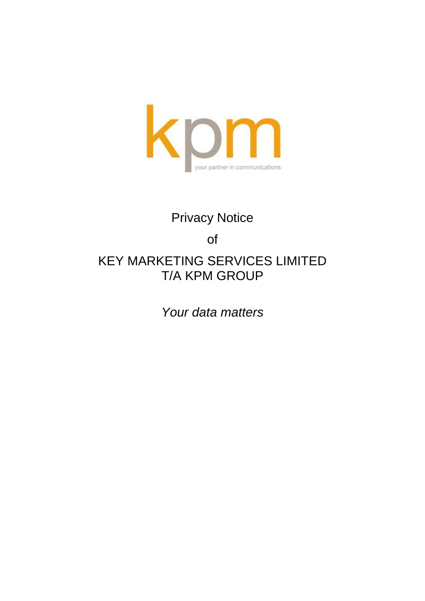

# Privacy Notice

## of

## KEY MARKETING SERVICES LIMITED T/A KPM GROUP

*Your data matters*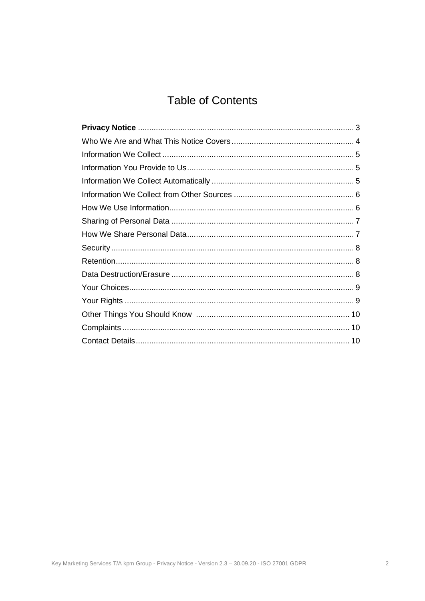## **Table of Contents**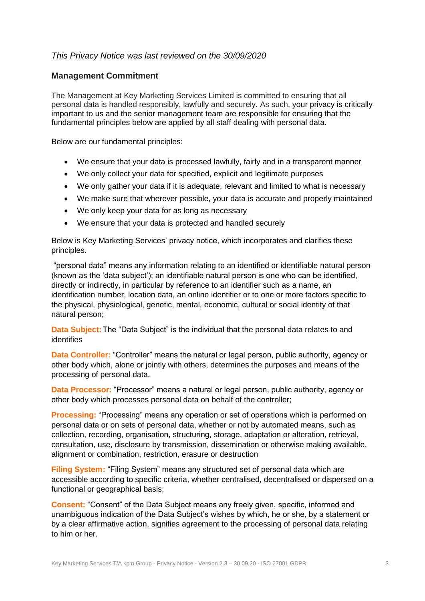## *This Privacy Notice was last reviewed on the 30/09/2020*

#### **Management Commitment**

The Management at Key Marketing Services Limited is committed to ensuring that all personal data is handled responsibly, lawfully and securely. As such, your privacy is critically important to us and the senior management team are responsible for ensuring that the fundamental principles below are applied by all staff dealing with personal data.

Below are our fundamental principles:

- We ensure that your data is processed lawfully, fairly and in a transparent manner
- We only collect your data for specified, explicit and legitimate purposes
- We only gather your data if it is adequate, relevant and limited to what is necessary
- We make sure that wherever possible, your data is accurate and properly maintained
- We only keep your data for as long as necessary
- We ensure that your data is protected and handled securely

Below is Key Marketing Services' privacy notice, which incorporates and clarifies these principles.

<span id="page-2-0"></span>"personal data" means any information relating to an identified or identifiable natural person (known as the 'data subject'); an identifiable natural person is one who can be identified, directly or indirectly, in particular by reference to an identifier such as a name, an identification number, location data, an online identifier or to one or more factors specific to the physical, physiological, genetic, mental, economic, cultural or social identity of that natural person;

**Data Subject:**The "Data Subject" is the individual that the personal data relates to and identifies

**Data Controller:** "Controller" means the natural or legal person, public authority, agency or other body which, alone or jointly with others, determines the purposes and means of the processing of personal data.

**Data Processor:** "Processor" means a natural or legal person, public authority, agency or other body which processes personal data on behalf of the controller;

**Processing:** "Processing" means any operation or set of operations which is performed on personal data or on sets of personal data, whether or not by automated means, such as collection, recording, organisation, structuring, storage, adaptation or alteration, retrieval, consultation, use, disclosure by transmission, dissemination or otherwise making available, alignment or combination, restriction, erasure or destruction

**Filing System:** "Filing System" means any structured set of personal data which are accessible according to specific criteria, whether centralised, decentralised or dispersed on a functional or geographical basis;

**Consent:** "Consent" of the Data Subject means any freely given, specific, informed and unambiguous indication of the Data Subject's wishes by which, he or she, by a statement or by a clear affirmative action, signifies agreement to the processing of personal data relating to him or her.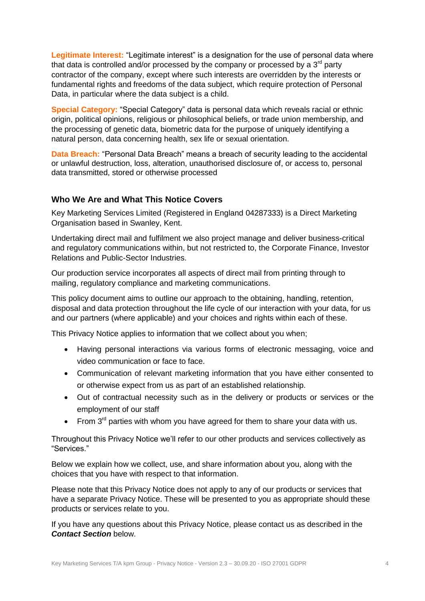Legitimate Interest: "Legitimate interest" is a designation for the use of personal data where that data is controlled and/or processed by the company or processed by a  $3<sup>rd</sup>$  party contractor of the company, except where such interests are overridden by the interests or fundamental rights and freedoms of the data subject, which require protection of Personal Data, in particular where the data subject is a child.

**Special Category:** "Special Category" data is personal data which reveals racial or ethnic origin, political opinions, religious or philosophical beliefs, or trade union membership, and the processing of genetic data, biometric data for the purpose of uniquely identifying a natural person, data concerning health, sex life or sexual orientation.

**Data Breach:** "Personal Data Breach" means a breach of security leading to the accidental or unlawful destruction, loss, alteration, unauthorised disclosure of, or access to, personal data transmitted, stored or otherwise processed

## **Who We Are and What This Notice Covers**

Key Marketing Services Limited (Registered in England 04287333) is a Direct Marketing Organisation based in Swanley, Kent.

Undertaking direct mail and fulfilment we also project manage and deliver business-critical and regulatory communications within, but not restricted to, the Corporate Finance, Investor Relations and Public-Sector Industries.

Our production service incorporates all aspects of direct mail from printing through to mailing, regulatory compliance and marketing communications.

This policy document aims to outline our approach to the obtaining, handling, retention, disposal and data protection throughout the life cycle of our interaction with your data, for us and our partners (where applicable) and your choices and rights within each of these.

This Privacy Notice applies to information that we collect about you when;

- Having personal interactions via various forms of electronic messaging, voice and video communication or face to face.
- Communication of relevant marketing information that you have either consented to or otherwise expect from us as part of an established relationship.
- Out of contractual necessity such as in the delivery or products or services or the employment of our staff
- From  $3<sup>rd</sup>$  parties with whom you have agreed for them to share your data with us.

Throughout this Privacy Notice we'll refer to our other products and services collectively as "Services."

Below we explain how we collect, use, and share information about you, along with the choices that you have with respect to that information.

Please note that this Privacy Notice does not apply to any of our products or services that have a separate Privacy Notice. These will be presented to you as appropriate should these products or services relate to you.

If you have any questions about this Privacy Notice, please contact us as described in the *Contact Section* below.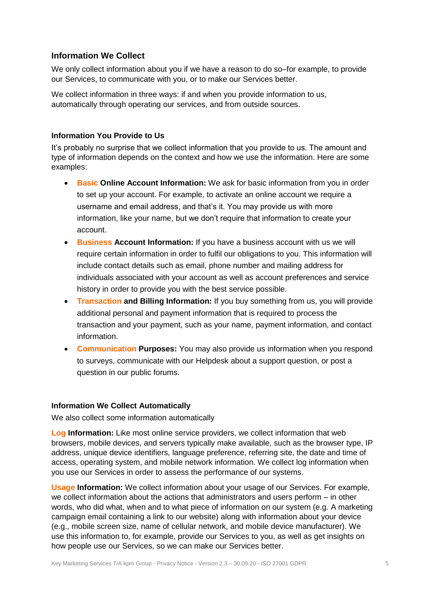## <span id="page-4-0"></span>**Information We Collect**

We only collect information about you if we have a reason to do so–for example, to provide our Services, to communicate with you, or to make our Services better.

We collect information in three ways: if and when you provide information to us, automatically through operating our services, and from outside sources.

#### **Information You Provide to Us**

It's probably no surprise that we collect information that you provide to us. The amount and type of information depends on the context and how we use the information. Here are some examples:

- <span id="page-4-1"></span> **Basic Online Account Information:** We ask for basic information from you in order to set up your account. For example, to activate an online account we require a username and email address, and that's it. You may provide us with more information, like your name, but we don't require that information to create your account.
- **Business Account Information:** If you have a business account with us we will require certain information in order to fulfil our obligations to you. This information will include contact details such as email, phone number and mailing address for individuals associated with your account as well as account preferences and service history in order to provide you with the best service possible.
- **Transaction and Billing Information:** If you buy something from us, you will provide additional personal and payment information that is required to process the transaction and your payment, such as your name, payment information, and contact information.
- **Communication Purposes:** You may also provide us information when you respond to surveys, communicate with our Helpdesk about a support question, or post a question in our public forums.

#### <span id="page-4-2"></span>**Information We Collect Automatically**

We also collect some information automatically

**Log Information:** Like most online service providers, we collect information that web browsers, mobile devices, and servers typically make available, such as the browser type, IP address, unique device identifiers, language preference, referring site, the date and time of access, operating system, and mobile network information. We collect log information when you use our Services in order to assess the performance of our systems.

**Usage Information:** We collect information about your usage of our Services. For example, we collect information about the actions that administrators and users perform – in other words, who did what, when and to what piece of information on our system (e.g. A marketing campaign email containing a link to our website) along with information about your device (e.g., mobile screen size, name of cellular network, and mobile device manufacturer). We use this information to, for example, provide our Services to you, as well as get insights on how people use our Services, so we can make our Services better.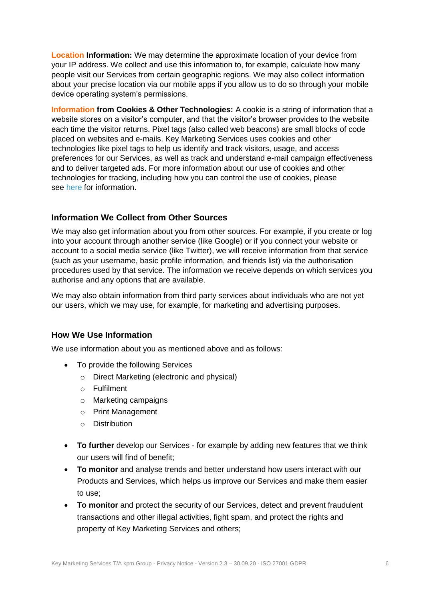**Location Information:** We may determine the approximate location of your device from your IP address. We collect and use this information to, for example, calculate how many people visit our Services from certain geographic regions. We may also collect information about your precise location via our mobile apps if you allow us to do so through your mobile device operating system's permissions.

**Information from Cookies & Other Technologies:** A cookie is a string of information that a website stores on a visitor's computer, and that the visitor's browser provides to the website each time the visitor returns. Pixel tags (also called web beacons) are small blocks of code placed on websites and e-mails. Key Marketing Services uses cookies and other technologies like pixel tags to help us identify and track visitors, usage, and access preferences for our Services, as well as track and understand e-mail campaign effectiveness and to deliver targeted ads. For more information about our use of cookies and other technologies for tracking, including how you can control the use of cookies, please see [here](https://www.aboutcookies.org/how-to-control-cookies/) for information.

## <span id="page-5-0"></span>**Information We Collect from Other Sources**

We may also get information about you from other sources. For example, if you create or log into your account through another service (like Google) or if you connect your website or account to a social media service (like Twitter), we will receive information from that service (such as your username, basic profile information, and friends list) via the authorisation procedures used by that service. The information we receive depends on which services you authorise and any options that are available.

We may also obtain information from third party services about individuals who are not yet our users, which we may use, for example, for marketing and advertising purposes.

#### <span id="page-5-1"></span>**How We Use Information**

We use information about you as mentioned above and as follows:

- To provide the following Services
	- o Direct Marketing (electronic and physical)
	- o Fulfilment
	- o Marketing campaigns
	- o Print Management
	- o Distribution
- <span id="page-5-2"></span> **To further** develop our Services - for example by adding new features that we think our users will find of benefit;
- **To monitor** and analyse trends and better understand how users interact with our Products and Services, which helps us improve our Services and make them easier to use;
- **To monitor** and protect the security of our Services, detect and prevent fraudulent transactions and other illegal activities, fight spam, and protect the rights and property of Key Marketing Services and others;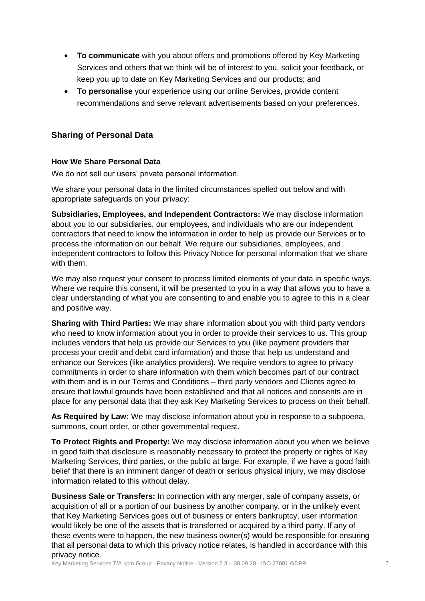- **To communicate** with you about offers and promotions offered by Key Marketing Services and others that we think will be of interest to you, solicit your feedback, or keep you up to date on Key Marketing Services and our products; and
- **To personalise** your experience using our online Services, provide content recommendations and serve relevant advertisements based on your preferences.

## **Sharing of Personal Data**

### <span id="page-6-0"></span>**How We Share Personal Data**

We do not sell our users' private personal information.

We share your personal data in the limited circumstances spelled out below and with appropriate safeguards on your privacy:

<span id="page-6-1"></span>**Subsidiaries, Employees, and Independent Contractors:** We may disclose information about you to our subsidiaries, our employees, and individuals who are our independent contractors that need to know the information in order to help us provide our Services or to process the information on our behalf. We require our subsidiaries, employees, and independent contractors to follow this Privacy Notice for personal information that we share with them.

We may also request your consent to process limited elements of your data in specific ways. Where we require this consent, it will be presented to you in a way that allows you to have a clear understanding of what you are consenting to and enable you to agree to this in a clear and positive way.

**Sharing with Third Parties:** We may share information about you with third party vendors who need to know information about you in order to provide their services to us. This group includes vendors that help us provide our Services to you (like payment providers that process your credit and debit card information) and those that help us understand and enhance our Services (like analytics providers). We require vendors to agree to privacy commitments in order to share information with them which becomes part of our contract with them and is in our Terms and Conditions – third party vendors and Clients agree to ensure that lawful grounds have been established and that all notices and consents are in place for any personal data that they ask Key Marketing Services to process on their behalf.

**As Required by Law:** We may disclose information about you in response to a subpoena, summons, court order, or other governmental request.

**To Protect Rights and Property:** We may disclose information about you when we believe in good faith that disclosure is reasonably necessary to protect the property or rights of Key Marketing Services, third parties, or the public at large. For example, if we have a good faith belief that there is an imminent danger of death or serious physical injury, we may disclose information related to this without delay.

**Business Sale or Transfers:** In connection with any merger, sale of company assets, or acquisition of all or a portion of our business by another company, or in the unlikely event that Key Marketing Services goes out of business or enters bankruptcy, user information would likely be one of the assets that is transferred or acquired by a third party. If any of these events were to happen, the new business owner(s) would be responsible for ensuring that all personal data to which this privacy notice relates, is handled in accordance with this privacy notice.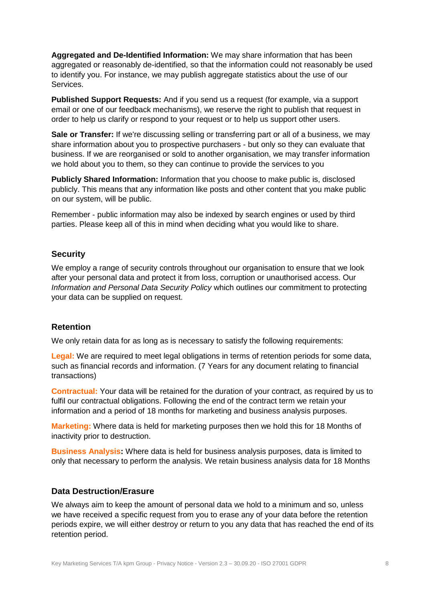**Aggregated and De-Identified Information:** We may share information that has been aggregated or reasonably de-identified, so that the information could not reasonably be used to identify you. For instance, we may publish aggregate statistics about the use of our Services.

**Published Support Requests:** And if you send us a request (for example, via a support email or one of our feedback mechanisms), we reserve the right to publish that request in order to help us clarify or respond to your request or to help us support other users.

**Sale or Transfer:** If we're discussing selling or transferring part or all of a business, we may share information about you to prospective purchasers - but only so they can evaluate that business. If we are reorganised or sold to another organisation, we may transfer information we hold about you to them, so they can continue to provide the services to you

**Publicly Shared Information:** Information that you choose to make public is, disclosed publicly. This means that any information like posts and other content that you make public on our system, will be public.

Remember - public information may also be indexed by search engines or used by third parties. Please keep all of this in mind when deciding what you would like to share.

#### <span id="page-7-0"></span>**Security**

We employ a range of security controls throughout our organisation to ensure that we look after your personal data and protect it from loss, corruption or unauthorised access. Our *Information and Personal Data Security Policy* which outlines our commitment to protecting your data can be supplied on request.

## <span id="page-7-1"></span>**Retention**

<span id="page-7-2"></span>We only retain data for as long as is necessary to satisfy the following requirements:

**Legal:** We are required to meet legal obligations in terms of retention periods for some data, such as financial records and information. (7 Years for any document relating to financial transactions)

**Contractual:** Your data will be retained for the duration of your contract, as required by us to fulfil our contractual obligations. Following the end of the contract term we retain your information and a period of 18 months for marketing and business analysis purposes.

**Marketing:** Where data is held for marketing purposes then we hold this for 18 Months of inactivity prior to destruction.

**Business Analysis:** Where data is held for business analysis purposes, data is limited to only that necessary to perform the analysis. We retain business analysis data for 18 Months

#### **Data Destruction/Erasure**

<span id="page-7-3"></span>We always aim to keep the amount of personal data we hold to a minimum and so, unless we have received a specific request from you to erase any of your data before the retention periods expire, we will either destroy or return to you any data that has reached the end of its retention period.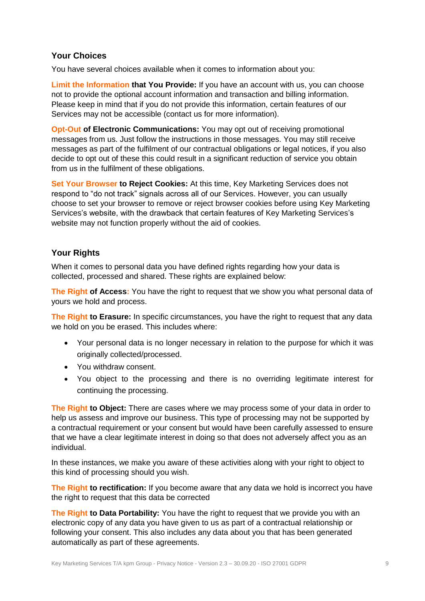## **Your Choices**

You have several choices available when it comes to information about you:

**Limit the Information that You Provide:** If you have an account with us, you can choose not to provide the optional account information and transaction and billing information. Please keep in mind that if you do not provide this information, certain features of our Services may not be accessible (contact us for more information).

**Opt-Out of Electronic Communications:** You may opt out of receiving promotional messages from us. Just follow the instructions in those messages. You may still receive messages as part of the fulfilment of our contractual obligations or legal notices, if you also decide to opt out of these this could result in a significant reduction of service you obtain from us in the fulfilment of these obligations.

**Set Your Browser to Reject Cookies:** At this time, Key Marketing Services does not respond to "do not track" signals across all of our Services. However, you can usually choose to set your browser to remove or reject browser cookies before using Key Marketing Services's website, with the drawback that certain features of Key Marketing Services's website may not function properly without the aid of cookies.

### <span id="page-8-0"></span>**Your Rights**

When it comes to personal data you have defined rights regarding how your data is collected, processed and shared. These rights are explained below:

**The Right of Access:** You have the right to request that we show you what personal data of yours we hold and process.

**The Right to Erasure:** In specific circumstances, you have the right to request that any data we hold on you be erased. This includes where:

- Your personal data is no longer necessary in relation to the purpose for which it was originally collected/processed.
- You withdraw consent.
- You object to the processing and there is no overriding legitimate interest for continuing the processing.

**The Right to Object:** There are cases where we may process some of your data in order to help us assess and improve our business. This type of processing may not be supported by a contractual requirement or your consent but would have been carefully assessed to ensure that we have a clear legitimate interest in doing so that does not adversely affect you as an individual.

In these instances, we make you aware of these activities along with your right to object to this kind of processing should you wish.

**The Right to rectification:** If you become aware that any data we hold is incorrect you have the right to request that this data be corrected

**The Right to Data Portability:** You have the right to request that we provide you with an electronic copy of any data you have given to us as part of a contractual relationship or following your consent. This also includes any data about you that has been generated automatically as part of these agreements.